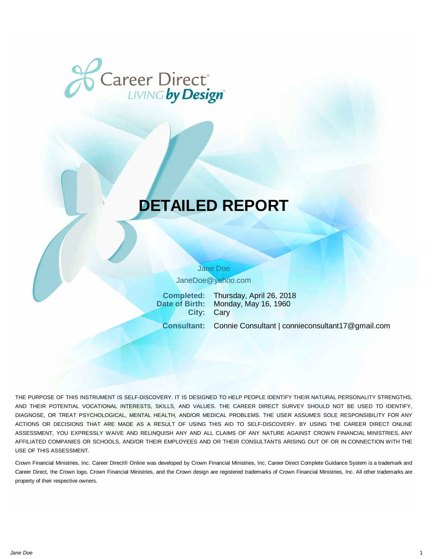

# **DETAILED REPORT**

Jane Doe

JaneDoe@yahoo.com

**Completed:** Thursday, April 26, 2018 **Date of Birth:** Monday, May 16, 1960 **City:** Cary

**Consultant:** Connie Consultant | connieconsultant17@gmail.com

THE PURPOSE OF THIS INSTRUMENT IS SELF-DISCOVERY. IT IS DESIGNED TO HELP PEOPLE IDENTIFY THEIR NATURAL PERSONALITY STRENGTHS, AND THEIR POTENTIAL VOCATIONAL INTERESTS, SKILLS, AND VALUES. THE CAREER DIRECT SURVEY SHOULD NOT BE USED TO IDENTIFY, DIAGNOSE, OR TREAT PSYCHOLOGICAL, MENTAL HEALTH, AND/OR MEDICAL PROBLEMS. THE USER ASSUMES SOLE RESPONSIBILITY FOR ANY ACTIONS OR DECISIONS THAT ARE MADE AS A RESULT OF USING THIS AID TO SELF-DISCOVERY. BY USING THE CAREER DIRECT ONLINE ASSESSMENT, YOU EXPRESSLY WAIVE AND RELINQUISH ANY AND ALL CLAIMS OF ANY NATURE AGAINST CROWN FINANCIAL MINISTRIES, ANY AFFILIATED COMPANIES OR SCHOOLS, AND/OR THEIR EMPLOYEES AND OR THEIR CONSULTANTS ARISING OUT OF OR IN CONNECTION WITH THE USE OF THIS ASSESSMENT.

Crown Financial Ministries, Inc. Career Direct® Online was developed by Crown Financial Ministries, Inc. Career Direct Complete Guidance System is a trademark and Career Direct, the Crown logo, Crown Financial Ministries, and the Crown design are registered trademarks of Crown Financial Ministries, Inc. All other trademarks are property of their respective owners.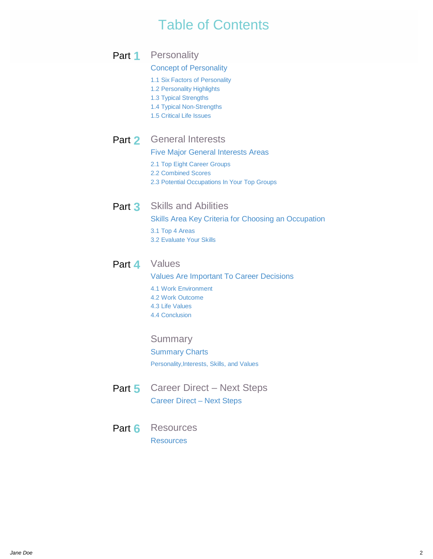## Table of Contents

Part 1 Personality

## [Concept of Personality](#page-4-0)

- [1.1 Six Factors of Personality](#page-4-0)
- [1.2 Personality Highlights](#page-5-0)
- [1.3 Typical Strengths](#page-9-0)
- [1.4 Typical Non-Strengths](#page-10-0)
- [1.5 Critical Life Issues](#page-10-0)

## Part **2** General Interests

[Five Major General Interests Areas](#page-11-0)

- [2.1 Top Eight Career Groups](#page-13-0)
- [2.2 Combined Scores](#page-15-0)
- [2.3 Potential Occupations In Your Top Groups](#page-18-0)

## Part **3** Skills and Abilities

[Skills Area Key Criteria for Choosing an Occupation](#page-19-0) [3.1 Top 4 Areas](#page-20-0) [3.2 Evaluate Your Skills](#page-22-0)

## Part 4 Values

[Values Are Important To Career Decisions](#page-22-0) [4.1 Work Environment](#page-23-0) [4.2 Work Outcome](#page-24-0) [4.3 Life Values](#page-25-0) [4.4 Conclusion](#page-26-0)

## **Summary**

## [Summary Charts](#page-26-0)

[Personality,Interests, Skills, and Values](#page-26-0)

- Part 5 Career Direct Next Steps [Career Direct – Next Steps](#page-31-0)
- Part **6** Resources [Resources](#page-34-0)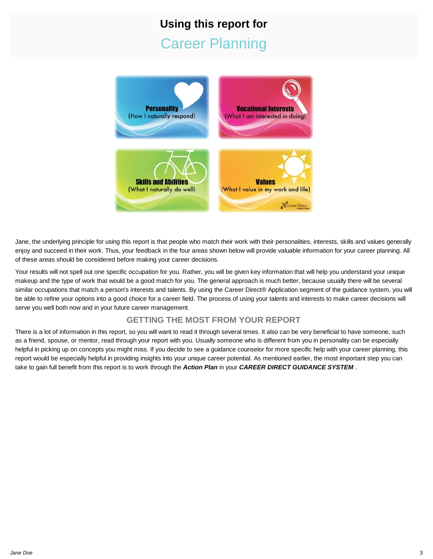# **Using this report for** Career Planning



Jane, the underlying principle for using this report is that people who match their work with their personalities, interests, skills and values generally enjoy and succeed in their work. Thus, your feedback in the four areas shown below will provide valuable information for your career planning. All of these areas should be considered before making your career decisions.

Your results will not spell out one specific occupation for you. Rather, you will be given key information that will help you understand your unique makeup and the type of work that would be a good match for you. The general approach is much better, because usually there will be several similar occupations that match a person's interests and talents. By using the Career Direct® Application segment of the guidance system, you will be able to refine your options into a good choice for a career field. The process of using your talents and interests to make career decisions will serve you well both now and in your future career management.

## **GETTING THE MOST FROM YOUR REPORT**

There is a lot of information in this report, so you will want to read it through several times. It also can be very beneficial to have someone, such as a friend, spouse, or mentor, read through your report with you. Usually someone who is different from you in personality can be especially helpful in picking up on concepts you might miss. If you decide to see a guidance counselor for more specific help with your career planning, this report would be especially helpful in providing insights into your unique career potential. As mentioned earlier, the most important step you can take to gain full benefit from this report is to work through the *Action Plan* in your *CAREER DIRECT GUIDANCE SYSTEM* .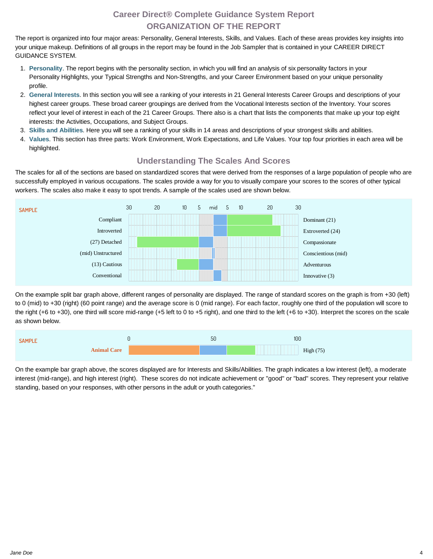## **Career Direct® Complete Guidance System Report ORGANIZATION OF THE REPORT**

The report is organized into four major areas: Personality, General Interests, Skills, and Values. Each of these areas provides key insights into your unique makeup. Definitions of all groups in the report may be found in the Job Sampler that is contained in your CAREER DIRECT GUIDANCE SYSTEM.

- 1. **[Personality](#page-4-0)**. The report begins with the personality section, in which you will find an analysis of six personality factors in your Personality Highlights, your Typical Strengths and Non-Strengths, and your Career Environment based on your unique personality profile.
- 2. **General Interests**. In this section you will see a ranking of your interests in 21 General Interests Career Groups and descriptions of your highest career groups. These broad career groupings are derived from the Vocational Interests section of the Inventory. Your scores reflect your level of interest in each of the 21 Career Groups. There also is a chart that lists the components that make up your top eight interests: the Activities, Occupations, and Subject Groups.
- 3. **Skills and Abilities**. Here you will see a ranking of your skills in 14 areas and descriptions of your strongest skills and abilities.
- 4. **Values**. This section has three parts: Work Environment, Work Expectations, and Life Values. Your top four priorities in each area will be highlighted.

## **Understanding The Scales And Scores**

The scales for all of the sections are based on standardized scores that were derived from the responses of a large population of people who are successfully employed in various occupations. The scales provide a way for you to visually compare your scores to the scores of other typical workers. The scales also make it easy to spot trends. A sample of the scales used are shown below.



On the example split bar graph above, different ranges of personality are displayed. The range of standard scores on the graph is from +30 (left) to 0 (mid) to +30 (right) (60 point range) and the average score is 0 (mid range). For each factor, roughly one third of the population will score to the right (+6 to +30), one third will score mid-range (+5 left to 0 to +5 right), and one third to the left (+6 to +30). Interpret the scores on the scale as shown below.



On the example bar graph above, the scores displayed are for Interests and Skills/Abilities. The graph indicates a low interest (left), a moderate interest (mid-range), and high interest (right). These scores do not indicate achievement or "good" or "bad" scores. They represent your relative standing, based on your responses, with other persons in the adult or youth categories."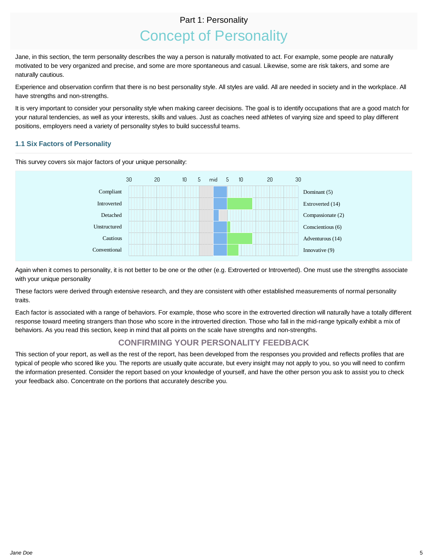## Part 1: Personality

# Concept of Personality

<span id="page-4-0"></span>Jane, in this section, the term personality describes the way a person is naturally motivated to act. For example, some people are naturally motivated to be very organized and precise, and some are more spontaneous and casual. Likewise, some are risk takers, and some are naturally cautious.

Experience and observation confirm that there is no best personality style. All styles are valid. All are needed in society and in the workplace. All have strengths and non-strengths.

It is very important to consider your personality style when making career decisions. The goal is to identify occupations that are a good match for your natural tendencies, as well as your interests, skills and values. Just as coaches need athletes of varying size and speed to play different positions, employers need a variety of personality styles to build successful teams.

## **1.1 Six Factors of Personality**

This survey covers six major factors of your unique personality:



Again when it comes to personality, it is not better to be one or the other (e.g. Extroverted or Introverted). One must use the strengths associate with your unique personality

These factors were derived through extensive research, and they are consistent with other established measurements of normal personality traits.

Each factor is associated with a range of behaviors. For example, those who score in the extroverted direction will naturally have a totally different response toward meeting strangers than those who score in the introverted direction. Those who fall in the mid-range typically exhibit a mix of behaviors. As you read this section, keep in mind that all points on the scale have strengths and non-strengths.

## **CONFIRMING YOUR PERSONALITY FEEDBACK**

This section of your report, as well as the rest of the report, has been developed from the responses you provided and reflects profiles that are typical of people who scored like you. The reports are usually quite accurate, but every insight may not apply to you, so you will need to confirm the information presented. Consider the report based on your knowledge of yourself, and have the other person you ask to assist you to check your feedback also. Concentrate on the portions that accurately describe you.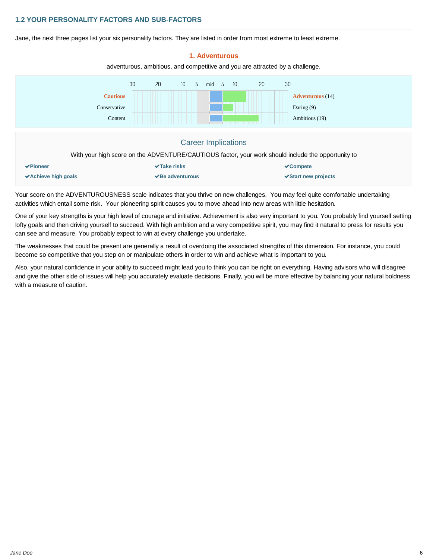#### <span id="page-5-0"></span>**1.2 YOUR PERSONALITY FACTORS AND SUB-FACTORS**

Jane, the next three pages list your six personality factors. They are listed in order from most extreme to least extreme.



**1. Adventurous**

Your score on the ADVENTUROUSNESS scale indicates that you thrive on new challenges. You may feel quite comfortable undertaking activities which entail some risk. Your pioneering spirit causes you to move ahead into new areas with little hesitation.

One of your key strengths is your high level of courage and initiative. Achievement is also very important to you. You probably find yourself setting lofty goals and then driving yourself to succeed. With high ambition and a very competitive spirit, you may find it natural to press for results you can see and measure. You probably expect to win at every challenge you undertake.

The weaknesses that could be present are generally a result of overdoing the associated strengths of this dimension. For instance, you could become so competitive that you step on or manipulate others in order to win and achieve what is important to you.

Also, your natural confidence in your ability to succeed might lead you to think you can be right on everything. Having advisors who will disagree and give the other side of issues will help you accurately evaluate decisions. Finally, you will be more effective by balancing your natural boldness with a measure of caution.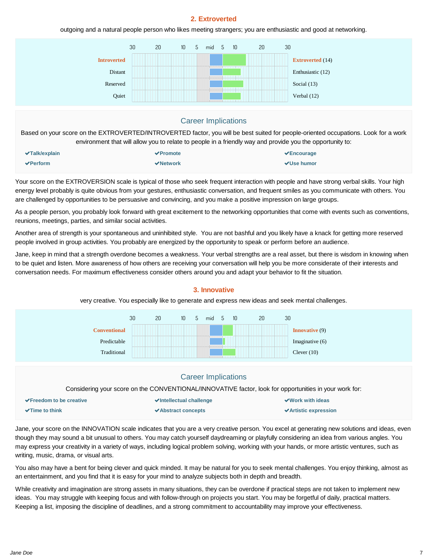## **2. Extroverted**

outgoing and a natural people person who likes meeting strangers; you are enthusiastic and good at networking.



| $\blacktriangleright$ Talk/explain | $\sqrt{$ Promote              | $\sqrt{\frac{1}{2}}$ Encourage |
|------------------------------------|-------------------------------|--------------------------------|
| $\blacktriangleright$ Perform      | $\blacktriangleright$ Network | <b>√Use humor</b>              |

Your score on the EXTROVERSION scale is typical of those who seek frequent interaction with people and have strong verbal skills. Your high energy level probably is quite obvious from your gestures, enthusiastic conversation, and frequent smiles as you communicate with others. You are challenged by opportunities to be persuasive and convincing, and you make a positive impression on large groups.

As a people person, you probably look forward with great excitement to the networking opportunities that come with events such as conventions, reunions, meetings, parties, and similar social activities.

Another area of strength is your spontaneous and uninhibited style. You are not bashful and you likely have a knack for getting more reserved people involved in group activities. You probably are energized by the opportunity to speak or perform before an audience.

Jane, keep in mind that a strength overdone becomes a weakness. Your verbal strengths are a real asset, but there is wisdom in knowing when to be quiet and listen. More awareness of how others are receiving your conversation will help you be more considerate of their interests and conversation needs. For maximum effectiveness consider others around you and adapt your behavior to fit the situation.



## **3. Innovative**

very creative. You especially like to generate and express new ideas and seek mental challenges.

Jane, your score on the INNOVATION scale indicates that you are a very creative person. You excel at generating new solutions and ideas, even though they may sound a bit unusual to others. You may catch yourself daydreaming or playfully considering an idea from various angles. You may express your creativity in a variety of ways, including logical problem solving, working with your hands, or more artistic ventures, such as writing, music, drama, or visual arts.

You also may have a bent for being clever and quick minded. It may be natural for you to seek mental challenges. You enjoy thinking, almost as an entertainment, and you find that it is easy for your mind to analyze subjects both in depth and breadth.

While creativity and imagination are strong assets in many situations, they can be overdone if practical steps are not taken to implement new ideas. You may struggle with keeping focus and with follow-through on projects you start. You may be forgetful of daily, practical matters. Keeping a list, imposing the discipline of deadlines, and a strong commitment to accountability may improve your effectiveness.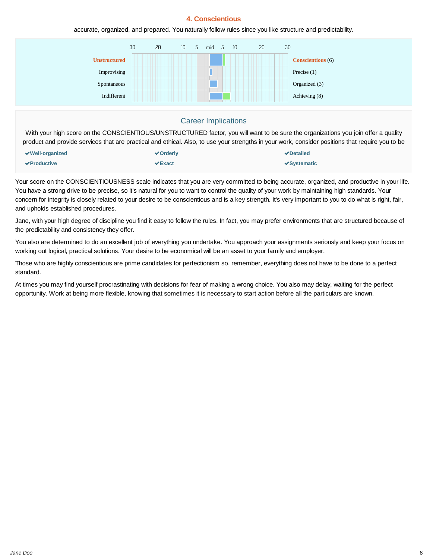#### **4. Conscientious**

accurate, organized, and prepared. You naturally follow rules since you like structure and predictability.



### Career Implications

With your high score on the CONSCIENTIOUS/UNSTRUCTURED factor, you will want to be sure the organizations you join offer a quality product and provide services that are practical and ethical. Also, to use your strengths in your work, consider positions that require you to be

| $\vee$ Well-organized            | √Orderly     | $\vee$ Detailed |
|----------------------------------|--------------|-----------------|
| $\blacktriangleright$ Productive | $\vee$ Exact | √Systematic     |

Your score on the CONSCIENTIOUSNESS scale indicates that you are very committed to being accurate, organized, and productive in your life. You have a strong drive to be precise, so it's natural for you to want to control the quality of your work by maintaining high standards. Your concern for integrity is closely related to your desire to be conscientious and is a key strength. It's very important to you to do what is right, fair, and upholds established procedures.

Jane, with your high degree of discipline you find it easy to follow the rules. In fact, you may prefer environments that are structured because of the predictability and consistency they offer.

You also are determined to do an excellent job of everything you undertake. You approach your assignments seriously and keep your focus on working out logical, practical solutions. Your desire to be economical will be an asset to your family and employer.

Those who are highly conscientious are prime candidates for perfectionism so, remember, everything does not have to be done to a perfect standard.

At times you may find yourself procrastinating with decisions for fear of making a wrong choice. You also may delay, waiting for the perfect opportunity. Work at being more flexible, knowing that sometimes it is necessary to start action before all the particulars are known.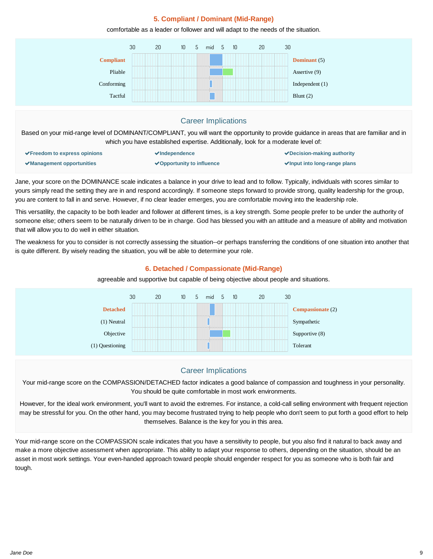## **5. Compliant / Dominant (Mid-Range)**

comfortable as a leader or follower and will adapt to the needs of the situation.



Jane, your score on the DOMINANCE scale indicates a balance in your drive to lead and to follow. Typically, individuals with scores similar to yours simply read the setting they are in and respond accordingly. If someone steps forward to provide strong, quality leadership for the group, you are content to fall in and serve. However, if no clear leader emerges, you are comfortable moving into the leadership role.

This versatility, the capacity to be both leader and follower at different times, is a key strength. Some people prefer to be under the authority of someone else; others seem to be naturally driven to be in charge. God has blessed you with an attitude and a measure of ability and motivation that will allow you to do well in either situation.

The weakness for you to consider is not correctly assessing the situation--or perhaps transferring the conditions of one situation into another that is quite different. By wisely reading the situation, you will be able to determine your role.

#### **6. Detached / Compassionate (Mid-Range)**

agreeable and supportive but capable of being objective about people and situations.



## Career Implications

Your mid-range score on the COMPASSION/DETACHED factor indicates a good balance of compassion and toughness in your personality. You should be quite comfortable in most work environments.

However, for the ideal work environment, you'll want to avoid the extremes. For instance, a cold-call selling environment with frequent rejection may be stressful for you. On the other hand, you may become frustrated trying to help people who don't seem to put forth a good effort to help themselves. Balance is the key for you in this area.

Your mid-range score on the COMPASSION scale indicates that you have a sensitivity to people, but you also find it natural to back away and make a more objective assessment when appropriate. This ability to adapt your response to others, depending on the situation, should be an asset in most work settings. Your even-handed approach toward people should engender respect for you as someone who is both fair and tough.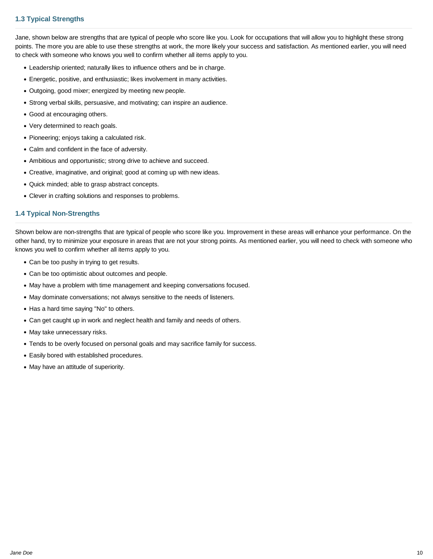## <span id="page-9-0"></span>**1.3 Typical Strengths**

Jane, shown below are strengths that are typical of people who score like you. Look for occupations that will allow you to highlight these strong points. The more you are able to use these strengths at work, the more likely your success and satisfaction. As mentioned earlier, you will need to check with someone who knows you well to confirm whether all items apply to you.

- Leadership oriented; naturally likes to influence others and be in charge.
- Energetic, positive, and enthusiastic; likes involvement in many activities.
- Outgoing, good mixer; energized by meeting new people.
- Strong verbal skills, persuasive, and motivating; can inspire an audience.
- Good at encouraging others.
- Very determined to reach goals.
- Pioneering; enjoys taking a calculated risk.
- Calm and confident in the face of adversity.
- Ambitious and opportunistic; strong drive to achieve and succeed.
- Creative, imaginative, and original; good at coming up with new ideas.
- Quick minded; able to grasp abstract concepts.
- Clever in crafting solutions and responses to problems.

#### **1.4 Typical Non-Strengths**

Shown below are non-strengths that are typical of people who score like you. Improvement in these areas will enhance your performance. On the other hand, try to minimize your exposure in areas that are not your strong points. As mentioned earlier, you will need to check with someone who knows you well to confirm whether all items apply to you.

- Can be too pushy in trying to get results.
- Can be too optimistic about outcomes and people.
- May have a problem with time management and keeping conversations focused.
- May dominate conversations; not always sensitive to the needs of listeners.
- Has a hard time saying "No" to others.
- Can get caught up in work and neglect health and family and needs of others.
- May take unnecessary risks.
- Tends to be overly focused on personal goals and may sacrifice family for success.
- Easily bored with established procedures.
- May have an attitude of superiority.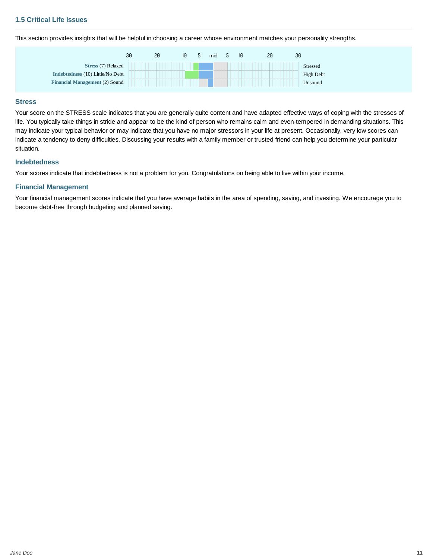<span id="page-10-0"></span>This section provides insights that will be helpful in choosing a career whose environment matches your personality strengths.



#### **Stress**

Your score on the STRESS scale indicates that you are generally quite content and have adapted effective ways of coping with the stresses of life. You typically take things in stride and appear to be the kind of person who remains calm and even-tempered in demanding situations. This may indicate your typical behavior or may indicate that you have no major stressors in your life at present. Occasionally, very low scores can indicate a tendency to deny difficulties. Discussing your results with a family member or trusted friend can help you determine your particular situation.

#### **Indebtedness**

Your scores indicate that indebtedness is not a problem for you. Congratulations on being able to live within your income.

#### **Financial Management**

Your financial management scores indicate that you have average habits in the area of spending, saving, and investing. We encourage you to become debt-free through budgeting and planned saving.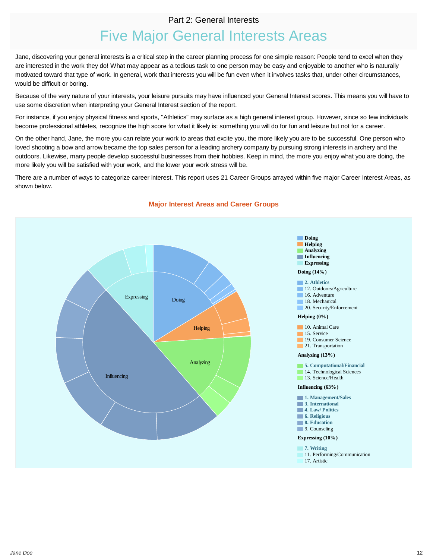## Part 2: General Interests

## Five Major General Interests Areas

<span id="page-11-0"></span>Jane, discovering your general interests is a critical step in the career planning process for one simple reason: People tend to excel when they are interested in the work they do! What may appear as a tedious task to one person may be easy and enjoyable to another who is naturally motivated toward that type of work. In general, work that interests you will be fun even when it involves tasks that, under other circumstances, would be difficult or boring.

Because of the very nature of your interests, your leisure pursuits may have influenced your General Interest scores. This means you will have to use some discretion when interpreting your General Interest section of the report.

For instance, if you enjoy physical fitness and sports, "Athletics" may surface as a high general interest group. However, since so few individuals become professional athletes, recognize the high score for what it likely is: something you will do for fun and leisure but not for a career.

On the other hand, Jane, the more you can relate your work to areas that excite you, the more likely you are to be successful. One person who loved shooting a bow and arrow became the top sales person for a leading archery company by pursuing strong interests in archery and the outdoors. Likewise, many people develop successful businesses from their hobbies. Keep in mind, the more you enjoy what you are doing, the more likely you will be satisfied with your work, and the lower your work stress will be.

There are a number of ways to categorize career interest. This report uses 21 Career Groups arrayed within five major Career Interest Areas, as shown below.



#### **Major Interest Areas and Career Groups**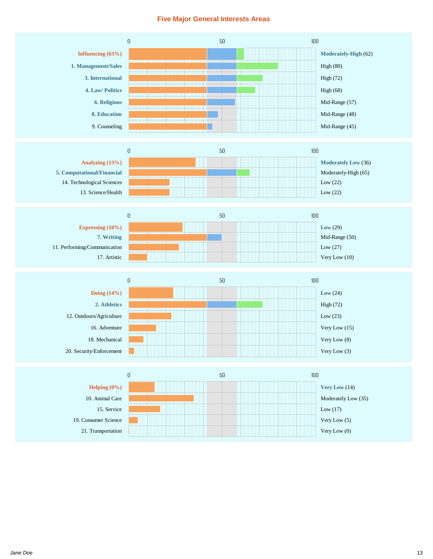### **Five Major General Interests Areas**

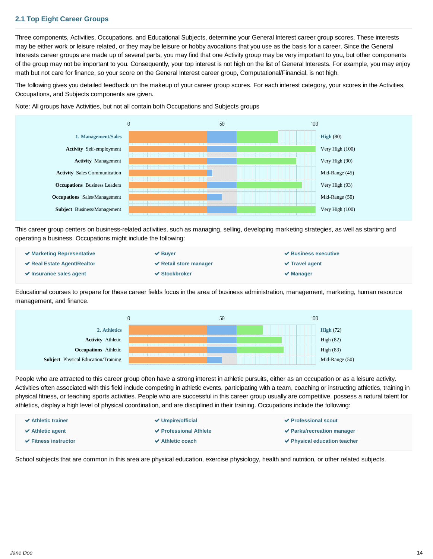## <span id="page-13-0"></span>**2.1 Top Eight Career Groups**

Three components, Activities, Occupations, and Educational Subjects, determine your General Interest career group scores. These interests may be either work or leisure related, or they may be leisure or hobby avocations that you use as the basis for a career. Since the General Interests career groups are made up of several parts, you may find that one Activity group may be very important to you, but other components of the group may not be important to you. Consequently, your top interest is not high on the list of General Interests. For example, you may enjoy math but not care for finance, so your score on the General Interest career group, Computational/Financial, is not high.

The following gives you detailed feedback on the makeup of your career group scores. For each interest category, your scores in the Activities, Occupations, and Subjects components are given.



Note: All groups have Activities, but not all contain both Occupations and Subjects groups

This career group centers on business-related activities, such as managing, selling, developing marketing strategies, as well as starting and operating a business. Occupations might include the following:

| $\blacktriangleright$ Marketing Representative | $\vee$ Buver                | $\vee$ Business executive |
|------------------------------------------------|-----------------------------|---------------------------|
| $\vee$ Real Estate Agent/Realtor               | $\vee$ Retail store manager | $\vee$ Travel agent       |
| $\vee$ Insurance sales agent                   | $\vee$ Stockbroker          | $\vee$ Manager            |

Educational courses to prepare for these career fields focus in the area of business administration, management, marketing, human resource management, and finance.



People who are attracted to this career group often have a strong interest in athletic pursuits, either as an occupation or as a leisure activity. Activities often associated with this field include competing in athletic events, participating with a team, coaching or instructing athletics, training in physical fitness, or teaching sports activities. People who are successful in this career group usually are competitive, possess a natural talent for athletics, display a high level of physical coordination, and are disciplined in their training. Occupations include the following:

| $\vee$ Athletic trainer              | $\vee$ Umpire/official | <b>√ Professional scout</b>                      |
|--------------------------------------|------------------------|--------------------------------------------------|
| $\blacktriangleright$ Athletic agent | ✔ Professional Athlete | $\vee$ Parks/recreation manager                  |
| $\vee$ Fitness instructor            | $\vee$ Athletic coach  | $\blacktriangleright$ Physical education teacher |

School subjects that are common in this area are physical education, exercise physiology, health and nutrition, or other related subjects.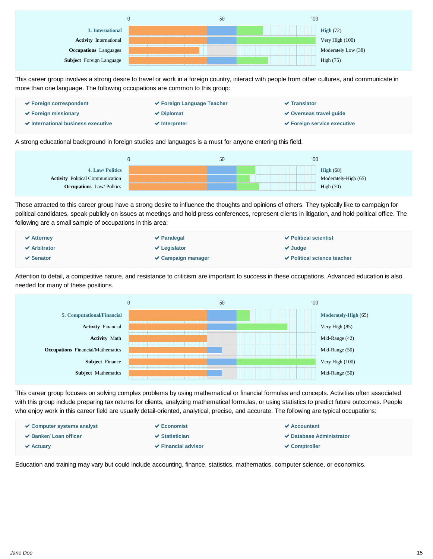

This career group involves a strong desire to travel or work in a foreign country, interact with people from other cultures, and communicate in more than one language. The following occupations are common to this group:



A strong educational background in foreign studies and languages is a must for anyone entering this field.



Those attracted to this career group have a strong desire to influence the thoughts and opinions of others. They typically like to campaign for political candidates, speak publicly on issues at meetings and hold press conferences, represent clients in litigation, and hold political office. The following are a small sample of occupations in this area:

| $\blacktriangleright$ Attorney | $\vee$ Paralegal        | $\vee$ Political scientist  |
|--------------------------------|-------------------------|-----------------------------|
| $\vee$ Arbitrator              | $\vee$ Legislator       | $\vee$ Judge                |
| $\vee$ Senator                 | $\vee$ Campaign manager | ◆ Political science teacher |

Attention to detail, a competitive nature, and resistance to criticism are important to success in these occupations. Advanced education is also needed for many of these positions.



This career group focuses on solving complex problems by using mathematical or financial formulas and concepts. Activities often associated with this group include preparing tax returns for clients, analyzing mathematical formulas, or using statistics to predict future outcomes. People who enjoy work in this career field are usually detail-oriented, analytical, precise, and accurate. The following are typical occupations:

| $\vee$ Computer systems analyst | $\vee$ Economist               | $\vee$ Accountant               |
|---------------------------------|--------------------------------|---------------------------------|
| $\vee$ Banker/ Loan officer     | $\vee$ Statistician            | <b>✓ Database Administrator</b> |
| $\vee$ Actuary                  | $\checkmark$ Financial advisor | $\vee$ Comptroller              |

Education and training may vary but could include accounting, finance, statistics, mathematics, computer science, or economics.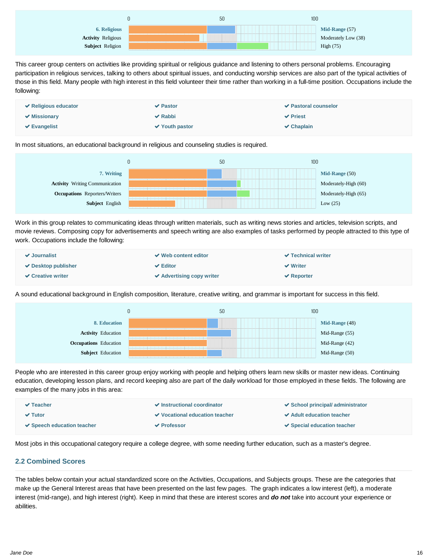<span id="page-15-0"></span>

This career group centers on activities like providing spiritual or religious guidance and listening to others personal problems. Encouraging participation in religious services, talking to others about spiritual issues, and conducting worship services are also part of the typical activities of those in this field. Many people with high interest in this field volunteer their time rather than working in a full-time position. Occupations include the following:



In most situations, an educational background in religious and counseling studies is required.



Work in this group relates to communicating ideas through written materials, such as writing news stories and articles, television scripts, and movie reviews. Composing copy for advertisements and speech writing are also examples of tasks performed by people attracted to this type of work. Occupations include the following:

| $\vee$ Journalist        | $\vee$ Web content editor      | $\vee$ Technical writer |
|--------------------------|--------------------------------|-------------------------|
| $\vee$ Desktop publisher | $\vee$ Editor                  | $\vee$ Writer           |
| $\vee$ Creative writer   | $\vee$ Advertising copy writer | $\vee$ Reporter         |

A sound educational background in English composition, literature, creative writing, and grammar is important for success in this field.



People who are interested in this career group enjoy working with people and helping others learn new skills or master new ideas. Continuing education, developing lesson plans, and record keeping also are part of the daily workload for those employed in these fields. The following are examples of the many jobs in this area:

| $\vee$ Teacher                                 | $\vee$ Instructional coordinator      | $\checkmark$ School principal/ administrator |
|------------------------------------------------|---------------------------------------|----------------------------------------------|
| $\vee$ Tutor                                   | <b>√</b> Vocational education teacher | <b>√</b> Adult education teacher             |
| $\blacktriangleright$ Speech education teacher | $\vee$ Professor                      | $\vee$ Special education teacher             |

Most jobs in this occupational category require a college degree, with some needing further education, such as a master's degree.

## **2.2 Combined Scores**

The tables below contain your actual standardized score on the Activities, Occupations, and Subjects groups. These are the categories that make up the General Interest areas that have been presented on the last few pages. The graph indicates a low interest (left), a moderate interest (mid-range), and high interest (right). Keep in mind that these are interest scores and *do not* take into account your experience or abilities.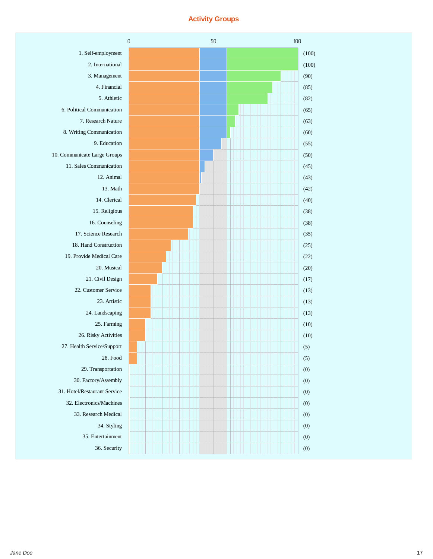### **Activity Groups**

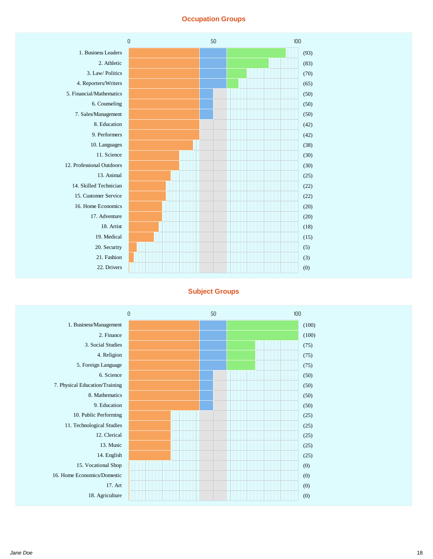## **Occupation Groups**



#### **Subject Groups**

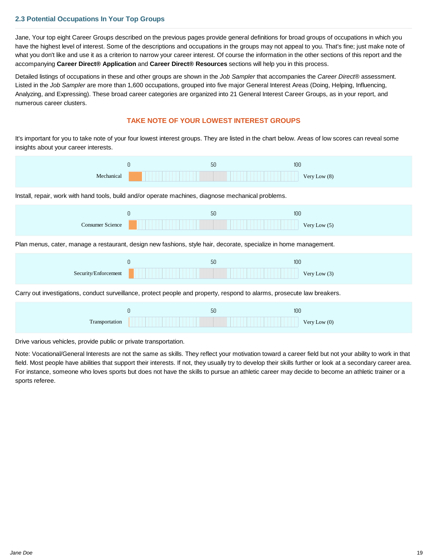## <span id="page-18-0"></span>**2.3 Potential Occupations In Your Top Groups**

Jane, Your top eight Career Groups described on the previous pages provide general definitions for broad groups of occupations in which you have the highest level of interest. Some of the descriptions and occupations in the groups may not appeal to you. That's fine; just make note of what you don't like and use it as a criterion to narrow your career interest. Of course the information in the other sections of this report and the accompanying **Career Direct® Application** and **Career Direct® Resources** sections will help you in this process.

Detailed listings of occupations in these and other groups are shown in the *Job Sampler* that accompanies the *Career Direct®* assessment. Listed in the *Job Sampler* are more than 1,600 occupations, grouped into five major General Interest Areas (Doing, Helping, Influencing, Analyzing, and Expressing). These broad career categories are organized into 21 General Interest Career Groups, as in your report, and numerous career clusters.

#### **TAKE NOTE OF YOUR LOWEST INTEREST GROUPS**

It's important for you to take note of your four lowest interest groups. They are listed in the chart below. Areas of low scores can reveal some insights about your career interests.

| Mechanical                                                                                                              | 0        | 50 | 100<br>Very Low (8)   |
|-------------------------------------------------------------------------------------------------------------------------|----------|----|-----------------------|
| Install, repair, work with hand tools, build and/or operate machines, diagnose mechanical problems.                     |          |    |                       |
| <b>Consumer Science</b>                                                                                                 | $\Theta$ | 50 | 100<br>Very Low (5)   |
| Plan menus, cater, manage a restaurant, design new fashions, style hair, decorate, specialize in home management.       |          |    |                       |
| Security/Enforcement                                                                                                    | 0        | 50 | 100<br>Very Low (3)   |
| Carry out investigations, conduct surveillance, protect people and property, respond to alarms, prosecute law breakers. |          |    |                       |
| Transportation                                                                                                          | 0        | 50 | 100<br>Very Low $(0)$ |

Drive various vehicles, provide public or private transportation.

Note: Vocational/General Interests are not the same as skills. They reflect your motivation toward a career field but not your ability to work in that field. Most people have abilities that support their interests. If not, they usually try to develop their skills further or look at a secondary career area. For instance, someone who loves sports but does not have the skills to pursue an athletic career may decide to become an athletic trainer or a sports referee.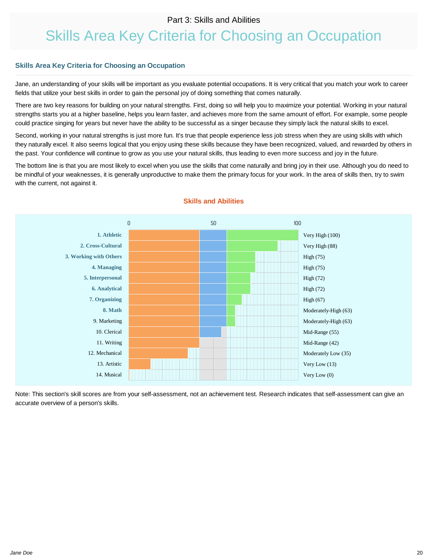## Part 3: Skills and Abilities

## <span id="page-19-0"></span>Skills Area Key Criteria for Choosing an Occupation

#### **Skills Area Key Criteria for Choosing an Occupation**

Jane, an understanding of your skills will be important as you evaluate potential occupations. It is very critical that you match your work to career fields that utilize your best skills in order to gain the personal joy of doing something that comes naturally.

There are two key reasons for building on your natural strengths. First, doing so will help you to maximize your potential. Working in your natural strengths starts you at a higher baseline, helps you learn faster, and achieves more from the same amount of effort. For example, some people could practice singing for years but never have the ability to be successful as a singer because they simply lack the natural skills to excel.

Second, working in your natural strengths is just more fun. It's true that people experience less job stress when they are using skills with which they naturally excel. It also seems logical that you enjoy using these skills because they have been recognized, valued, and rewarded by others in the past. Your confidence will continue to grow as you use your natural skills, thus leading to even more success and joy in the future.

The bottom line is that you are most likely to excel when you use the skills that come naturally and bring joy in their use. Although you do need to be mindful of your weaknesses, it is generally unproductive to make them the primary focus for your work. In the area of skills then, try to swim with the current, not against it.



#### **Skills and Abilities**

Note: This section's skill scores are from your self-assessment, not an achievement test. Research indicates that self-assessment can give an accurate overview of a person's skills.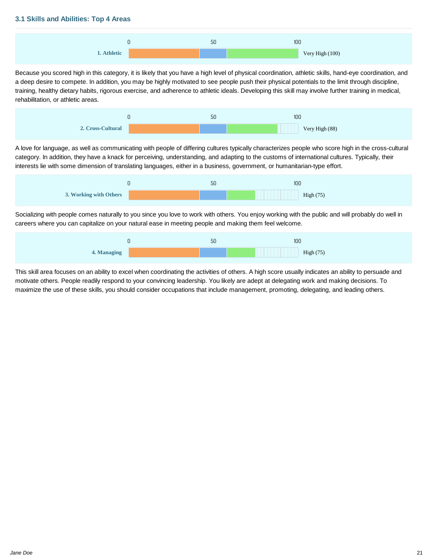#### <span id="page-20-0"></span>**3.1 Skills and Abilities: Top 4 Areas**



Because you scored high in this category, it is likely that you have a high level of physical coordination, athletic skills, hand-eye coordination, and a deep desire to compete. In addition, you may be highly motivated to see people push their physical potentials to the limit through discipline, training, healthy dietary habits, rigorous exercise, and adherence to athletic ideals. Developing this skill may involve further training in medical, rehabilitation, or athletic areas.



A love for language, as well as communicating with people of differing cultures typically characterizes people who score high in the cross-cultural category. In addition, they have a knack for perceiving, understanding, and adapting to the customs of international cultures. Typically, their interests lie with some dimension of translating languages, either in a business, government, or humanitarian-type effort.



Socializing with people comes naturally to you since you love to work with others. You enjoy working with the public and will probably do well in careers where you can capitalize on your natural ease in meeting people and making them feel welcome.



This skill area focuses on an ability to excel when coordinating the activities of others. A high score usually indicates an ability to persuade and motivate others. People readily respond to your convincing leadership. You likely are adept at delegating work and making decisions. To maximize the use of these skills, you should consider occupations that include management, promoting, delegating, and leading others.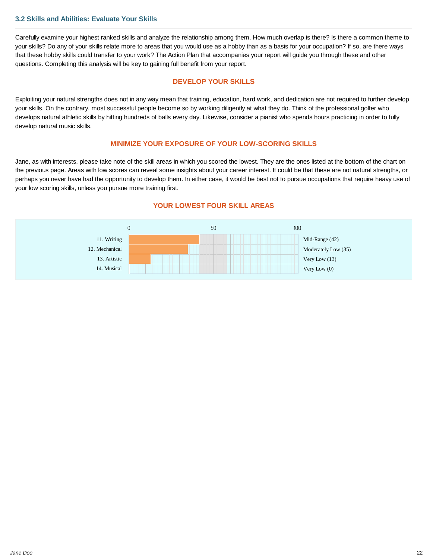#### **3.2 Skills and Abilities: Evaluate Your Skills**

Carefully examine your highest ranked skills and analyze the relationship among them. How much overlap is there? Is there a common theme to your skills? Do any of your skills relate more to areas that you would use as a hobby than as a basis for your occupation? If so, are there ways that these hobby skills could transfer to your work? The Action Plan that accompanies your report will guide you through these and other questions. Completing this analysis will be key to gaining full benefit from your report.

#### **DEVELOP YOUR SKILLS**

Exploiting your natural strengths does not in any way mean that training, education, hard work, and dedication are not required to further develop your skills. On the contrary, most successful people become so by working diligently at what they do. Think of the professional golfer who develops natural athletic skills by hitting hundreds of balls every day. Likewise, consider a pianist who spends hours practicing in order to fully develop natural music skills.

#### **MINIMIZE YOUR EXPOSURE OF YOUR LOW-SCORING SKILLS**

Jane, as with interests, please take note of the skill areas in which you scored the lowest. They are the ones listed at the bottom of the chart on the previous page. Areas with low scores can reveal some insights about your career interest. It could be that these are not natural strengths, or perhaps you never have had the opportunity to develop them. In either case, it would be best not to pursue occupations that require heavy use of your low scoring skills, unless you pursue more training first.



#### **YOUR LOWEST FOUR SKILL AREAS**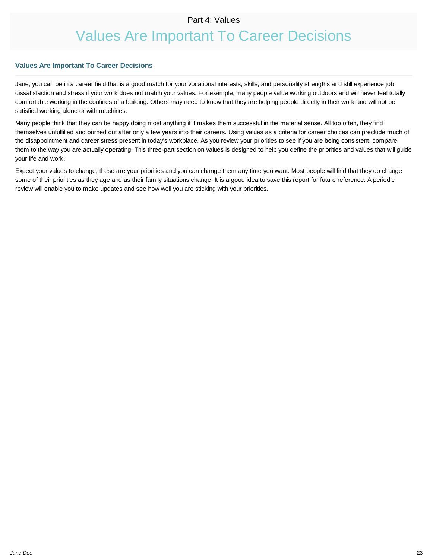## Part 4: Values

## Values Are Important To Career Decisions

#### <span id="page-22-0"></span>**Values Are Important To Career Decisions**

Jane, you can be in a career field that is a good match for your vocational interests, skills, and personality strengths and still experience job dissatisfaction and stress if your work does not match your values. For example, many people value working outdoors and will never feel totally comfortable working in the confines of a building. Others may need to know that they are helping people directly in their work and will not be satisfied working alone or with machines.

Many people think that they can be happy doing most anything if it makes them successful in the material sense. All too often, they find themselves unfulfilled and burned out after only a few years into their careers. Using values as a criteria for career choices can preclude much of the disappointment and career stress present in today's workplace. As you review your priorities to see if you are being consistent, compare them to the way you are actually operating. This three-part section on values is designed to help you define the priorities and values that will guide your life and work.

Expect your values to change; these are your priorities and you can change them any time you want. Most people will find that they do change some of their priorities as they age and as their family situations change. It is a good idea to save this report for future reference. A periodic review will enable you to make updates and see how well you are sticking with your priorities.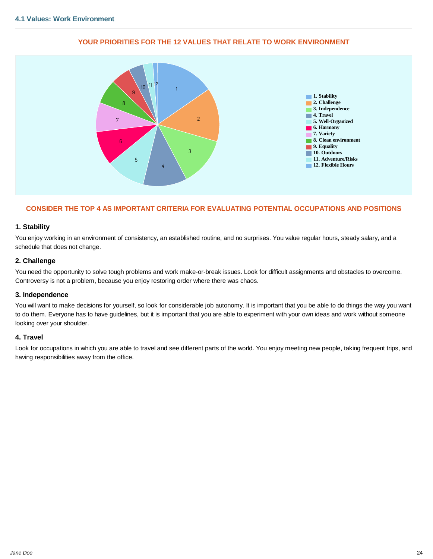<span id="page-23-0"></span>

#### **YOUR PRIORITIES FOR THE 12 VALUES THAT RELATE TO WORK ENVIRONMENT**

#### **CONSIDER THE TOP 4 AS IMPORTANT CRITERIA FOR EVALUATING POTENTIAL OCCUPATIONS AND POSITIONS**

#### **1. Stability**

You enjoy working in an environment of consistency, an established routine, and no surprises. You value regular hours, steady salary, and a schedule that does not change.

#### **2. Challenge**

You need the opportunity to solve tough problems and work make-or-break issues. Look for difficult assignments and obstacles to overcome. Controversy is not a problem, because you enjoy restoring order where there was chaos.

#### **3. Independence**

You will want to make decisions for yourself, so look for considerable job autonomy. It is important that you be able to do things the way you want to do them. Everyone has to have guidelines, but it is important that you are able to experiment with your own ideas and work without someone looking over your shoulder.

#### **4. Travel**

Look for occupations in which you are able to travel and see different parts of the world. You enjoy meeting new people, taking frequent trips, and having responsibilities away from the office.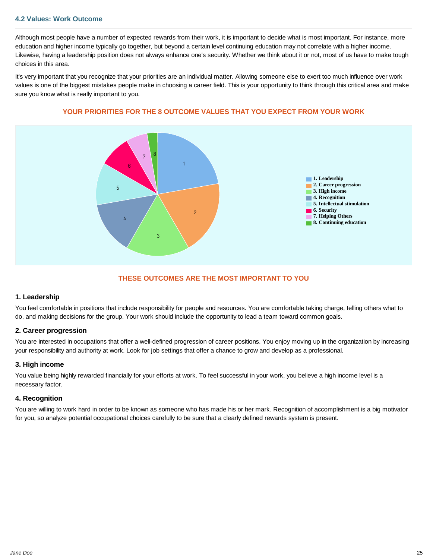#### <span id="page-24-0"></span>**4.2 Values: Work Outcome**

Although most people have a number of expected rewards from their work, it is important to decide what is most important. For instance, more education and higher income typically go together, but beyond a certain level continuing education may not correlate with a higher income. Likewise, having a leadership position does not always enhance one's security. Whether we think about it or not, most of us have to make tough choices in this area.

It's very important that you recognize that your priorities are an individual matter. Allowing someone else to exert too much influence over work values is one of the biggest mistakes people make in choosing a career field. This is your opportunity to think through this critical area and make sure you know what is really important to you.



#### **YOUR PRIORITIES FOR THE 8 OUTCOME VALUES THAT YOU EXPECT FROM YOUR WORK**

#### **THESE OUTCOMES ARE THE MOST IMPORTANT TO YOU**

#### **1. Leadership**

You feel comfortable in positions that include responsibility for people and resources. You are comfortable taking charge, telling others what to do, and making decisions for the group. Your work should include the opportunity to lead a team toward common goals.

#### **2. Career progression**

You are interested in occupations that offer a well-defined progression of career positions. You enjoy moving up in the organization by increasing your responsibility and authority at work. Look for job settings that offer a chance to grow and develop as a professional.

#### **3. High income**

You value being highly rewarded financially for your efforts at work. To feel successful in your work, you believe a high income level is a necessary factor.

#### **4. Recognition**

You are willing to work hard in order to be known as someone who has made his or her mark. Recognition of accomplishment is a big motivator for you, so analyze potential occupational choices carefully to be sure that a clearly defined rewards system is present.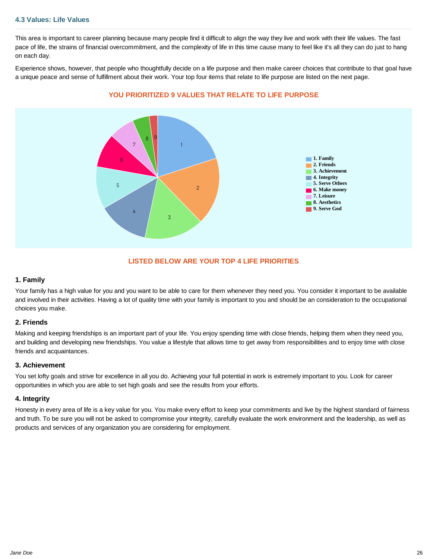#### <span id="page-25-0"></span>**4.3 Values: Life Values**

This area is important to career planning because many people find it difficult to align the way they live and work with their life values. The fast pace of life, the strains of financial overcommitment, and the complexity of life in this time cause many to feel like it's all they can do just to hang on each day.

Experience shows, however, that people who thoughtfully decide on a life purpose and then make career choices that contribute to that goal have a unique peace and sense of fulfillment about their work. Your top four items that relate to life purpose are listed on the next page.



#### **YOU PRIORITIZED 9 VALUES THAT RELATE TO LIFE PURPOSE**

#### **LISTED BELOW ARE YOUR TOP 4 LIFE PRIORITIES**

#### **1. Family**

Your family has a high value for you and you want to be able to care for them whenever they need you. You consider it important to be available and involved in their activities. Having a lot of quality time with your family is important to you and should be an consideration to the occupational choices you make.

#### **2. Friends**

Making and keeping friendships is an important part of your life. You enjoy spending time with close friends, helping them when they need you, and building and developing new friendships. You value a lifestyle that allows time to get away from responsibilities and to enjoy time with close friends and acquaintances.

#### **3. Achievement**

You set lofty goals and strive for excellence in all you do. Achieving your full potential in work is extremely important to you. Look for career opportunities in which you are able to set high goals and see the results from your efforts.

#### **4. Integrity**

Honesty in every area of life is a key value for you. You make every effort to keep your commitments and live by the highest standard of fairness and truth. To be sure you will not be asked to compromise your integrity, carefully evaluate the work environment and the leadership, as well as products and services of any organization you are considering for employment.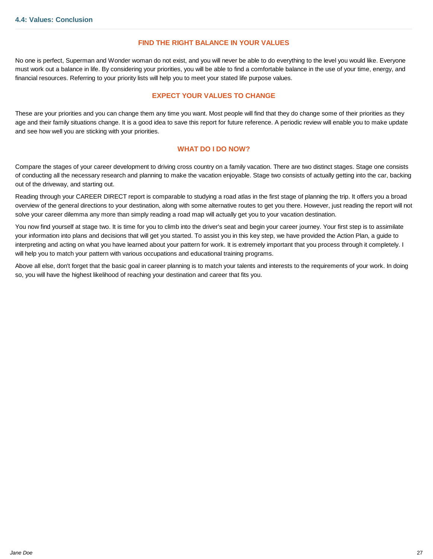#### **FIND THE RIGHT BALANCE IN YOUR VALUES**

<span id="page-26-0"></span>No one is perfect, Superman and Wonder woman do not exist, and you will never be able to do everything to the level you would like. Everyone must work out a balance in life. By considering your priorities, you will be able to find a comfortable balance in the use of your time, energy, and financial resources. Referring to your priority lists will help you to meet your stated life purpose values.

#### **EXPECT YOUR VALUES TO CHANGE**

These are your priorities and you can change them any time you want. Most people will find that they do change some of their priorities as they age and their family situations change. It is a good idea to save this report for future reference. A periodic review will enable you to make update and see how well you are sticking with your priorities.

#### **WHAT DO I DO NOW?**

Compare the stages of your career development to driving cross country on a family vacation. There are two distinct stages. Stage one consists of conducting all the necessary research and planning to make the vacation enjoyable. Stage two consists of actually getting into the car, backing out of the driveway, and starting out.

Reading through your CAREER DIRECT report is comparable to studying a road atlas in the first stage of planning the trip. It offers you a broad overview of the general directions to your destination, along with some alternative routes to get you there. However, just reading the report will not solve your career dilemma any more than simply reading a road map will actually get you to your vacation destination.

You now find yourself at stage two. It is time for you to climb into the driver's seat and begin your career journey. Your first step is to assimilate your information into plans and decisions that will get you started. To assist you in this key step, we have provided the Action Plan, a guide to interpreting and acting on what you have learned about your pattern for work. It is extremely important that you process through it completely. I will help you to match your pattern with various occupations and educational training programs.

Above all else, don't forget that the basic goal in career planning is to match your talents and interests to the requirements of your work. In doing so, you will have the highest likelihood of reaching your destination and career that fits you.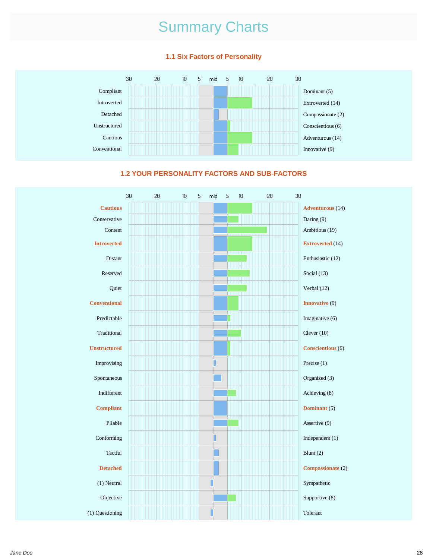# Summary Charts

### **1.1 Six Factors of Personality**





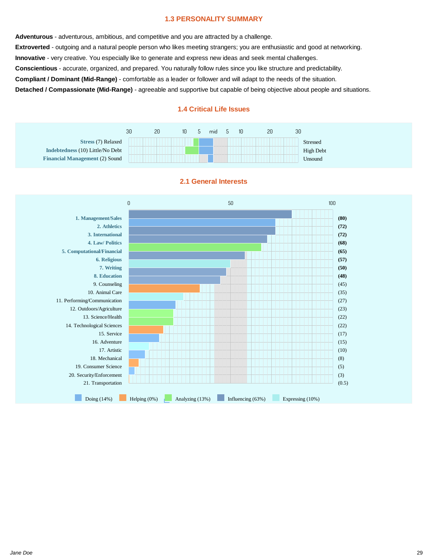#### **1.3 PERSONALITY SUMMARY**

**Adventurous** - adventurous, ambitious, and competitive and you are attracted by a challenge. **Extroverted** - outgoing and a natural people person who likes meeting strangers; you are enthusiastic and good at networking. **Innovative** - very creative. You especially like to generate and express new ideas and seek mental challenges. **Conscientious** - accurate, organized, and prepared. You naturally follow rules since you like structure and predictability. **Compliant / Dominant (Mid-Range)** - comfortable as a leader or follower and will adapt to the needs of the situation. **Detached / Compassionate (Mid-Range)** - agreeable and supportive but capable of being objective about people and situations.

#### **1.4 Critical Life Issues**

|                                       | 30 | 20 | 10 | mid                                  | 10 | 20 | 30 |                  |
|---------------------------------------|----|----|----|--------------------------------------|----|----|----|------------------|
| Stress (7) Relaxed                    |    |    |    | and the property of the property and |    |    |    | Stressed         |
| Indebtedness (10) Little/No Debt      |    |    |    | Contract Service Services            |    |    |    | <b>High Debt</b> |
| <b>Financial Management (2) Sound</b> |    |    |    |                                      |    |    |    | Unsound          |



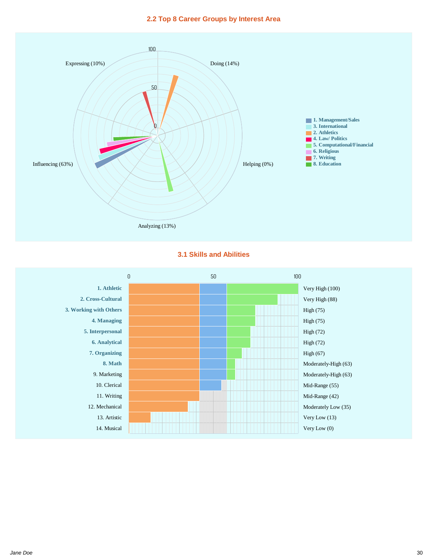#### **2.2 Top 8 Career Groups by Interest Area**



#### **3.1 Skills and Abilities**

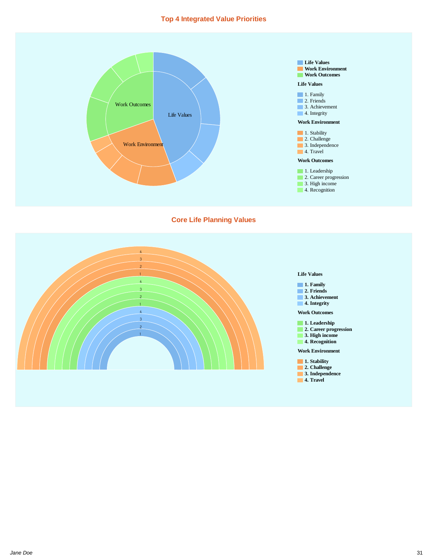#### **Top 4 Integrated Value Priorities**



#### **Core Life Planning Values**

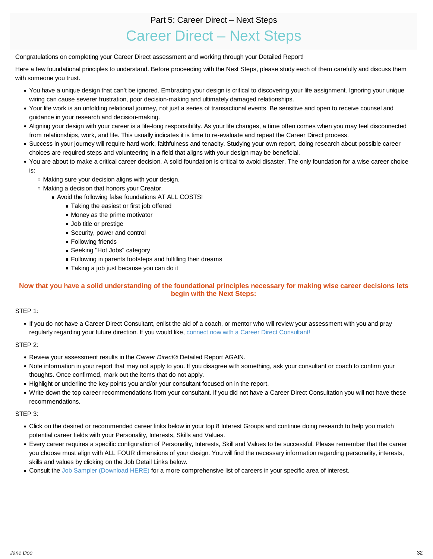## Part 5: Career Direct – Next Steps

## Career Direct – Next Steps

<span id="page-31-0"></span>Congratulations on completing your Career Direct assessment and working through your Detailed Report!

Here a few foundational principles to understand. Before proceeding with the Next Steps, please study each of them carefully and discuss them with someone you trust.

- You have a unique design that can't be ignored. Embracing your design is critical to discovering your life assignment. Ignoring your unique wiring can cause severer frustration, poor decision-making and ultimately damaged relationships.
- Your life work is an unfolding relational journey, not just a series of transactional events. Be sensitive and open to receive counsel and guidance in your research and decision-making.
- Aligning your design with your career is a life-long responsibility. As your life changes, a time often comes when you may feel disconnected from relationships, work, and life. This usually indicates it is time to re-evaluate and repeat the Career Direct process.
- Success in your journey will require hard work, faithfulness and tenacity. Studying your own report, doing research about possible career choices are required steps and volunteering in a field that aligns with your design may be beneficial.
- You are about to make a critical career decision. A solid foundation is critical to avoid disaster. The only foundation for a wise career choice is:
	- Making sure your decision aligns with your design.
	- Making a decision that honors your Creator.
		- Avoid the following false foundations AT ALL COSTS!
			- Taking the easiest or first job offered
			- **Money as the prime motivator**
			- Job title or prestige
			- Security, power and control
			- **Following friends**
			- Seeking "Hot Jobs" category
			- **Following in parents footsteps and fulfilling their dreams**
			- Taking a job just because you can do it

## **Now that you have a solid understanding of the foundational principles necessary for making wise career decisions lets begin with the Next Steps:**

#### STEP 1:

If you do not have a Career Direct Consultant, enlist the aid of a coach, or mentor who will review your assessment with you and pray regularly regarding your future direction. If you would like, [connect now with a Career Direct Consultant!](https://mycareer.design/find-consultant/search)

#### STEP 2:

- Review your assessment results in the *Career Direct®* Detailed Report AGAIN.
- Note information in your report that may not apply to you. If you disagree with something, ask your consultant or coach to confirm your thoughts. Once confirmed, mark out the items that do not apply.
- Highlight or underline the key points you and/or your consultant focused on in the report.
- Write down the top career recommendations from your consultant. If you did not have a Career Direct Consultation you will not have these recommendations.

#### STEP 3:

- Click on the desired or recommended career links below in your top 8 Interest Groups and continue doing research to help you match potential career fields with your Personality, Interests, Skills and Values.
- Every career requires a specific configuration of Personality, Interests, Skill and Values to be successful. Please remember that the career you choose must align with ALL FOUR dimensions of your design. You will find the necessary information regarding personality, interests, skills and values by clicking on the Job Detail Links below.
- Consult the [Job Sampler \(Download HERE\)](https://mycareer.design/assets/resources/en/job-sampler/JobSampler.pdf) for a more comprehensive list of careers in your specific area of interest.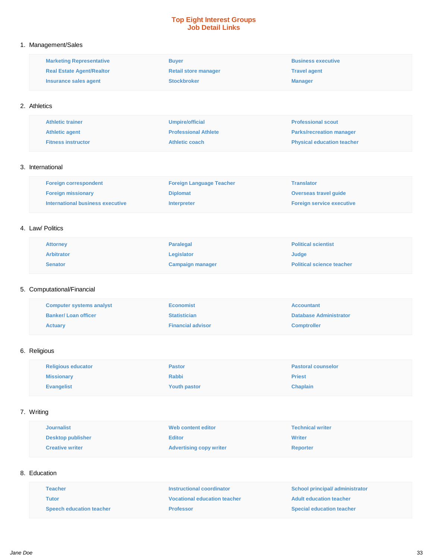#### **Top Eight Interest Groups Job Detail Links**

#### 1. Management/Sales

| <b>Marketing Representative</b>  | <b>Buyer</b>                | <b>Business executive</b> |
|----------------------------------|-----------------------------|---------------------------|
| <b>Real Estate Agent/Realtor</b> | <b>Retail store manager</b> | <b>Travel agent</b>       |
| Insurance sales agent            | <b>Stockbroker</b>          | <b>Manager</b>            |

#### 2. Athletics

| <b>Athletic trainer</b>   | Umpire/official             | <b>Professional scout</b>         |
|---------------------------|-----------------------------|-----------------------------------|
| <b>Athletic agent</b>     | <b>Professional Athlete</b> | <b>Parks/recreation manager</b>   |
| <b>Fitness instructor</b> | Athletic coach              | <b>Physical education teacher</b> |

#### 3. International

| <b>Foreign correspondent</b>     | <b>Foreign Language Teacher</b> | <b>Translator</b>                |
|----------------------------------|---------------------------------|----------------------------------|
| <b>Foreign missionary</b>        | <b>Diplomat</b>                 | <b>Overseas travel quide</b>     |
| International business executive | <b>Interpreter</b>              | <b>Foreign service executive</b> |

#### 4. Law/ Politics

| <b>Attorney</b>   | <b>Paralegal</b>        | <b>Political scientist</b>       |
|-------------------|-------------------------|----------------------------------|
| <b>Arbitrator</b> | Legislator              | <b>Judge</b>                     |
| Senator           | <b>Campaign manager</b> | <b>Political science teacher</b> |

#### 5. Computational/Financial

| <b>Computer systems analyst</b> | <b>Economist</b>         | <b>Accountant</b>             |
|---------------------------------|--------------------------|-------------------------------|
| <b>Banker/Loan officer</b>      | <b>Statistician</b>      | <b>Database Administrator</b> |
| <b>Actuary</b>                  | <b>Financial advisor</b> | <b>Comptroller</b>            |

### 6. Religious

| <b>Religious educator</b> | <b>Pastor</b>       | <b>Pastoral counselor</b> |
|---------------------------|---------------------|---------------------------|
| <b>Missionary</b>         | Rabbi               | <b>Priest</b>             |
| <b>Evangelist</b>         | <b>Youth pastor</b> | <b>Chaplain</b>           |

## 7. Writing

| <b>Journalist</b>        | Web content editor             | <b>Technical writer</b> |
|--------------------------|--------------------------------|-------------------------|
| <b>Desktop publisher</b> | <b>Editor</b>                  | <b>Writer</b>           |
| <b>Creative writer</b>   | <b>Advertising copy writer</b> | <b>Reporter</b>         |

#### 8. Education

| <b>Teacher</b>                  | Instructional coordinator           | School principal/administrator   |
|---------------------------------|-------------------------------------|----------------------------------|
| Tutor                           | <b>Vocational education teacher</b> | <b>Adult education teacher</b>   |
| <b>Speech education teacher</b> | <b>Professor</b>                    | <b>Special education teacher</b> |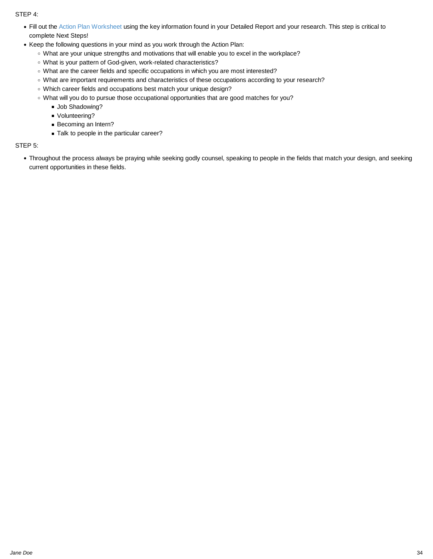STEP 4:

- Fill out the [Action Plan Worksheet](https://mycareer.design/assets/resources/en/action-plan/ActionPlan.pdf) using the key information found in your Detailed Report and your research. This step is critical to complete Next Steps!
- Keep the following questions in your mind as you work through the Action Plan:
	- What are your unique strengths and motivations that will enable you to excel in the workplace?
	- What is your pattern of God-given, work-related characteristics?
	- What are the career fields and specific occupations in which you are most interested?
	- What are important requirements and characteristics of these occupations according to your research?
	- Which career fields and occupations best match your unique design?
	- What will you do to pursue those occupational opportunities that are good matches for you?
		- **Job Shadowing?**
		- Volunteering?
		- Becoming an Intern?
		- Talk to people in the particular career?

#### STEP 5:

Throughout the process always be praying while seeking godly counsel, speaking to people in the fields that match your design, and seeking current opportunities in these fields.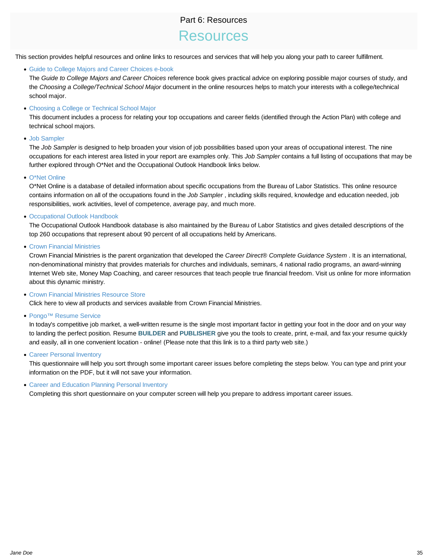## Part 6: Resources

## Resources

<span id="page-34-0"></span>This section provides helpful resources and online links to resources and services that will help you along your path to career fulfillment.

[Guide to College Majors and Career Choices e-book](https://mycareer.design/assets/resources/en/pdf/GuideCollegeMajors.pdf)

The *Guide to College Majors and Career Choices* reference book gives practical advice on exploring possible major courses of study, and the *Choosing a College/Technical School Major* document in the online resources helps to match your interests with a college/technical school major.

#### [Choosing a College or Technical School Major](https://mycareer.design/assets/resources/en/pdf/ChoosingCollege-Tech.pdf)

This document includes a process for relating your top occupations and career fields (identified through the Action Plan) with college and technical school majors.

#### [Job Sampler](https://mycareer.design/assets/resources/en/job-sampler/JobSampler.pdf)

The *Job Sampler* is designed to help broaden your vision of job possibilities based upon your areas of occupational interest. The nine occupations for each interest area listed in your report are examples only. This *Job Sampler* contains a full listing of occupations that may be further explored through O\*Net and the Occupational Outlook Handbook links below.

#### [O\\*Net Online](http://online.onetcenter.org/)

O\*Net Online is a database of detailed information about specific occupations from the Bureau of Labor Statistics. This online resource contains information on all of the occupations found in the *Job Sampler* , including skills required, knowledge and education needed, job responsibilities, work activities, level of competence, average pay, and much more.

#### [Occupational Outlook Handbook](http://www.bls.gov/oco/)

The Occupational Outlook Handbook database is also maintained by the Bureau of Labor Statistics and gives detailed descriptions of the top 260 occupations that represent about 90 percent of all occupations held by Americans.

#### [Crown Financial Ministries](http://www.crown.org/)

Crown Financial Ministries is the parent organization that developed the *Career Direct® Complete Guidance System* . It is an international, non-denominational ministry that provides materials for churches and individuals, seminars, 4 national radio programs, an award-winning Internet Web site, Money Map Coaching, and career resources that teach people true financial freedom. Visit us online for more information about this dynamic ministry.

#### • [Crown Financial Ministries Resource Store](http://store.crown.org/)

Click here to view all products and services available from Crown Financial Ministries.

[Pongo™ Resume Service](http://www.pongoresume.com/index.cfm?affiliate=CareerDirectOnline)

In today's competitive job market, a well-written resume is the single most important factor in getting your foot in the door and on your way to landing the perfect position. Resume **BUILDER** and **PUBLISHER** give you the tools to create, print, e-mail, and fax your resume quickly and easily, all in one convenient location - online! (Please note that this link is to a third party web site.)

#### [Career Personal Inventory](https://mycareer.design/assets/resources/en/pdf/Questionnaire-Occupation.pdf)

This questionnaire will help you sort through some important career issues before completing the steps below. You can type and print your information on the PDF, but it will not save your information.

[Career and Education Planning Personal Inventory](https://mycareer.design/assets/resources/en/pdf/Questionnaire-Education.pdf)

Completing this short questionnaire on your computer screen will help you prepare to address important career issues.